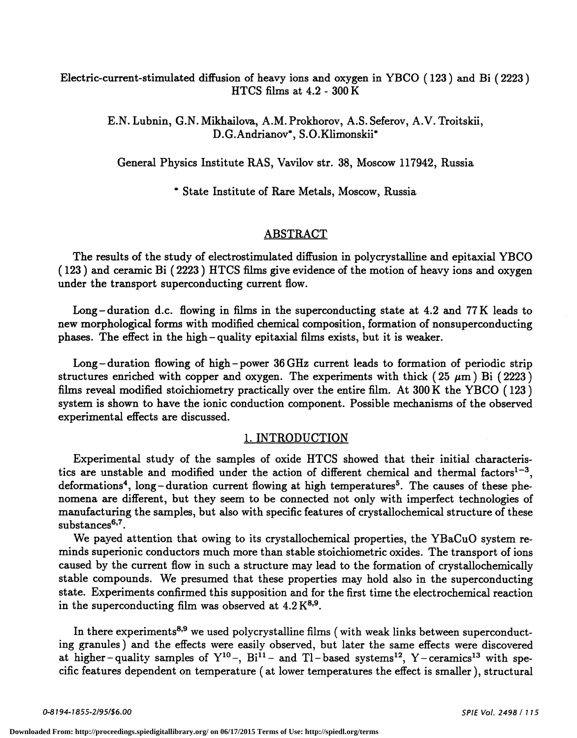# Electric-current-stimulated diffusion of heavy ions and oxygen in YBCO (<sup>123</sup> ) and Bi ( 2223) HTCS films at 4.2 - 300K

E.N. Lubnin, G.N. Mikhailova, A.M. Prokhorov, A.S. Seferov, A.V. Troitskii, D.G.Andrianov\*, S.O.Klimonskii\*

General Physics Institute RAS, Vavilov str. 38, Moscow 117942, Russia

\* State Institute of Rare Metals, Moscow, Russia

#### ABSTRACT

The results of the study of electrostimulated diffusion in polycrystalline and epitaxial YBCO ( <sup>123</sup> ) and ceramic Bi ( <sup>2223</sup> ) HTCS films give evidence of the motion of heavy ions and oxygen under the transport superconducting current flow.

Long-duration d.c. flowing in films in the superconducting state at 4.2 and 77 K leads to new morphological forms with modified chemical composition, formation of nonsuperconducting phases. The effect in the high —quality epitaxial films exists, but it is weaker.

Long — duration flowing of high —power 36 GHz current leads to formation of periodic strip structures enriched with copper and oxygen. The experiments with thick (25  $\mu$ m) Bi (2223) films reveal modified stoichiometry practically over the entire film. At 300 K the YBCO (123) system is shown to have the ionic c experimental effects are discussed.

#### 1. INTRODUCTION

Experimental study of the samples of oxide HTCS showed that their initial characteristics are unstable and modified under the action of different chemical and thermal factors<sup>1-3</sup>, deformations<sup>4</sup>, long—duration current flowing at high temperatures<sup>5</sup>. The causes of these phenomena are different, but they seem to be connected not only with imperfect technologies of manufacturing the samples, but also with specific features of crystallochemical structure of these substances<sup>6,7</sup>.

We payed attention that owing to its crystallochemical properties, the YBaCuO system reminds superionic conductors much more than stable stoichiometric oxides. The transport of ions caused by the current flow in such a structure may lead to the formation of crystallochemically stable compounds. We presumed that these properties may hold also in the superconducting state. Experiments confirmed this supposition and for the first time the electrochemical reaction in the superconducting film was observed at  $4.2 K^{8,9}$ .

In there experiments<sup>8,9</sup> we used polycrystalline films (with weak links between superconducting granules) and the effects were easily observed, but later the same effects were discovered at higher-quality samples of  $Y^{10}$ -,  $Bi^{11}$ - and Tl-based systems<sup>12</sup>, Y-ceramics<sup>13</sup> with specific features dependent on temperature (at lower temperatures the effect is smaller), structural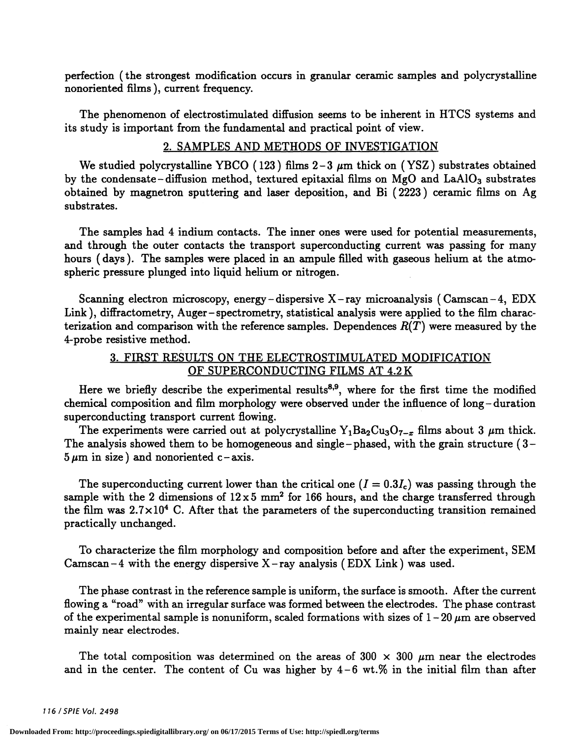perfection (the strongest modification occurs in granular ceramic samples and polycrystalline nonoriented films ), current frequency.

The phenomenon of electrostimulated diffusion seems to be inherent in HTCS systems and its study is important from the fundamental and practical point of view.

## 2. SAMPLES AND METHODS OF INVESTIGATION

We studied polycrystalline YBCO (123) films  $2-3 \mu m$  thick on (YSZ) substrates obtained by the condensate – diffusion method, textured epitaxial films on MgO and  $LaAlO<sub>3</sub>$  substrates obtained by magnetron sputtering and laser deposition, and Bi ( <sup>2223</sup> ) ceramic films on Ag substrates.

The samples had 4 indium contacts. The inner ones were used for potential measurements, and through the outer contacts the transport superconducting current was passing for many hours ( days ). The samples were placed in an ampule filled with gaseous helium at the atmospheric pressure plunged into liquid helium or nitrogen.

Scanning electron microscopy, energy —dispersive X —ray microanalysis (Camscan— 4, EDX Link ), diffractometry, Auger —spectrometry, statistical analysis were applied to the film characterization and comparison with the reference samples. Dependences  $R(T)$  were measured by the 4-probe resistive method.

### 3. FIRST RESULTS ON THE ELECTROSTIMULATED MODIFICATION OF SUPERCONDUCTING FILMS AT 4.2 K

Here we briefly describe the experimental results<sup>8,9</sup>, where for the first time the modified chemical composition and film morphology were observed under the influence of long —duration superconducting transport current flowing.<br>The experiments were carried out at polycrystalline  $Y_1Ba_2Cu_3O_{7-x}$  films about 3  $\mu$ m thick.

The analysis showed them to be homogeneous and single-phased, with the grain structure  $(3 5 \mu m$  in size) and nonoriented c-axis.

The superconducting current lower than the critical one  $(I = 0.3I_c)$  was passing through the sample with the 2 dimensions of  $12 \times 5$  mm<sup>2</sup> for 166 hours, and the charge transferred through the film was  $2.7 \times 10^4$  C. After that the parameters of the superconducting transition remained practically unchanged.

To characterize the film morphology and composition before and after the experiment, SEM Camscan  $-4$  with the energy dispersive X-ray analysis (EDX Link) was used.

The phase contrast in the reference sample is uniform, the surface is smooth. After the current flowing a "road" with an irregular surface was formed between the electrodes. The phase contrast of the experimental sample is nonuniform, scaled formations with sizes of  $1-20 \mu m$  are observed mainly near electrodes.

The total composition was determined on the areas of 300  $\times$  300  $\mu$ m near the electrodes and in the center. The content of  $Cu$  was higher by  $4-6$  wt.% in the initial film than after

116 /SP!E Vol. 2498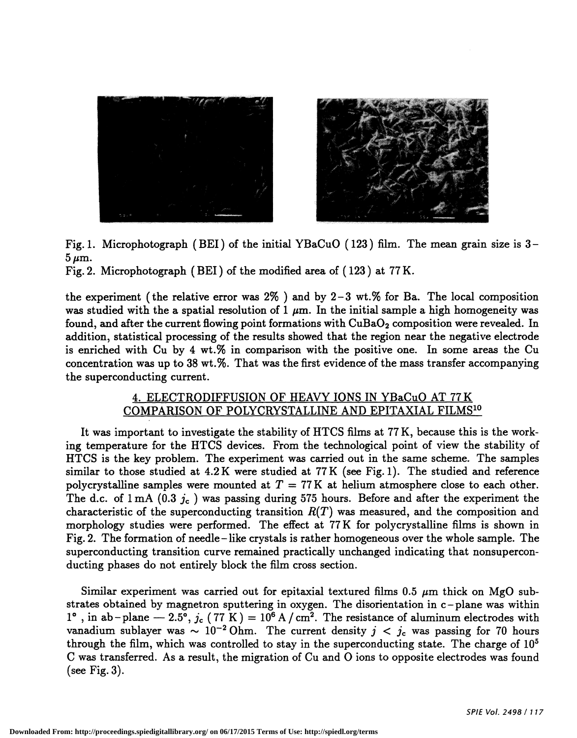

Fig. 1. Microphotograph (BET) of the initial YBaCuO ( <sup>123</sup> ) film. The mean grain size is 3—  $5 \mu m$ .

Fig. 2. Microphotograph (BET ) of the modified area of ( <sup>123</sup> ) at 77 K.

the experiment (the relative error was  $2\%$ ) and by 2-3 wt.% for Ba. The local composition was studied with the a spatial resolution of 1  $\mu$ m. In the initial sample a high homogeneity was found, and after the current flowing point formations with  $\text{CuBaO}_2$  composition were revealed. In addition, statistical processing of the results showed that the region near the negative electrode is enriched with Cu by 4 wt.% in comparison with the positive one. In some areas the Cu concentration was up to 38 wt.%. That was the first evidence of the mass transfer accompanying the superconducting current.

# 4. ELECTRODIFFUSION OF HEAVY IONS IN YBaCuO AT 77 K COMPARISON OF POLYCRYSTALLINE AND EPITAXIAL FILMS1°

It was important to investigate the stability of HTCS films at 77 K, because this is the working temperature for the HTCS devices. From the technological point of view the stability of HTCS is the key problem. The experiment was carried out in the same scheme. The samples similar to those studied at 4.2 K were studied at 77 K (see Fig. 1). The studied and reference polycrystalline samples were mounted at  $T = 77$  K at helium atmosphere close to each other. The d.c. of  $1 \text{ mA}$  (0.3  $j_c$ ) was passing during 575 hours. Before and after the experiment the characteristic of the superconducting transition  $R(T)$  was measured, and the composition and morphology studies were performed. The effect at 77 K for polycrystalline films is shown in Fig. 2. The formation of needle—like crystals is rather homogeneous over the whole sample. The superconducting transition curve remained practically unchanged indicating that nonsupercon- ducting phases do not entirely block the film cross section.

Similar experiment was carried out for epitaxial textured films 0.5  $\mu$ m thick on MgO substrates obtained by magnetron sputtering in oxygen. The disorientation in c-plane was within 1°, in ab-plane — 2.5°,  $j_c$  (77 K) = 10<sup>6</sup> A / cm<sup>2</sup>. The resistance of aluminum electrodes with vanadium sublayer was  $\sim 10^{-2}$  Ohm. The current density  $j < j_c$  was passing for 70 hours through the film which was contro through the film, which was controlled to stay in the superconducting state. The charge of  $10<sup>5</sup>$ C was transferred. As a result, the migration of Cu and 0 ions to opposite electrodes was found (see Fig.  $3$ ).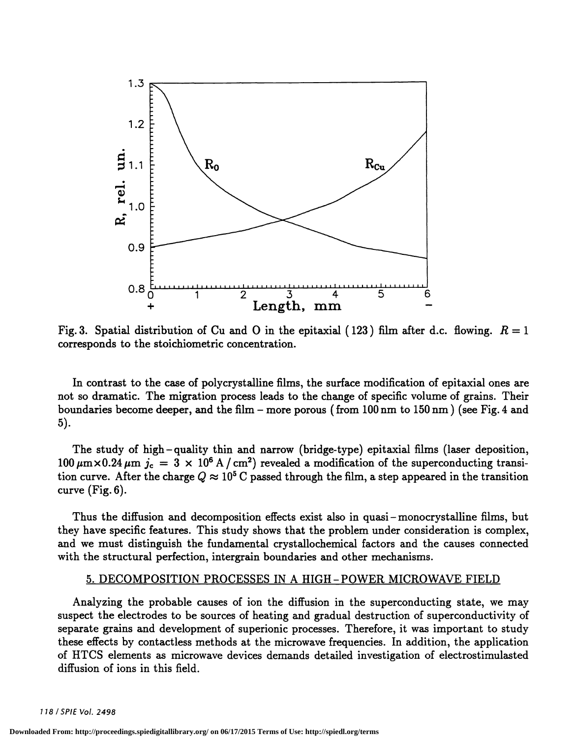

Fig. 3. Spatial distribution of Cu and O in the epitaxial (123) film after d.c. flowing.  $R = 1$ corresponds to the stoichiometric concentration.

In contrast to the case of polycrystalline films, the surface modification of epitaxial ones are not so dramatic. The migration process leads to the change of specific volume of grains. Their boundaries become deeper, and the film – more porous (from  $100 \text{ nm}$  to  $150 \text{ nm}$ ) (see Fig. 4 and 5).

The study of high —quality thin and narrow (bridge-type) epitaxial films (laser deposition,  $100 \mu m \times 0.24 \mu m$   $j_c = 3 \times 10^6$  A / cm<sup>2</sup>) revealed a modification of the superconducting transition curve. After the charge  $Q \approx 10^5$  C passed through the film, a step appeared in the transition curve (Fig. 6).

Thus the diffusion and decomposition effects exist also in quasi —monocrystalline films, but they have specific features. This study shows that the problem under consideration is complex, and we must distinguish the fundamental crystallochemical factors and the causes connected with the structural perfection, intergrain boundaries and other mechanisms.

#### 5. DECOMPOSITION PROCESSES IN A HIGH-POWER MICROWAVE FIELD

Analyzing the probable causes of ion the diffusion in the superconducting state, we may suspect the electrodes to be sources of heating and gradual destruction of superconductivity of separate grains and development of superionic processes. Therefore, it was important to study these effects by contactiess methods at the microwave frequencies. In addition, the application of HTCS elements as microwave devices demands detailed investigation of electrostimulasted diffusion of ions in this field.

118/SPIEVo!. 2498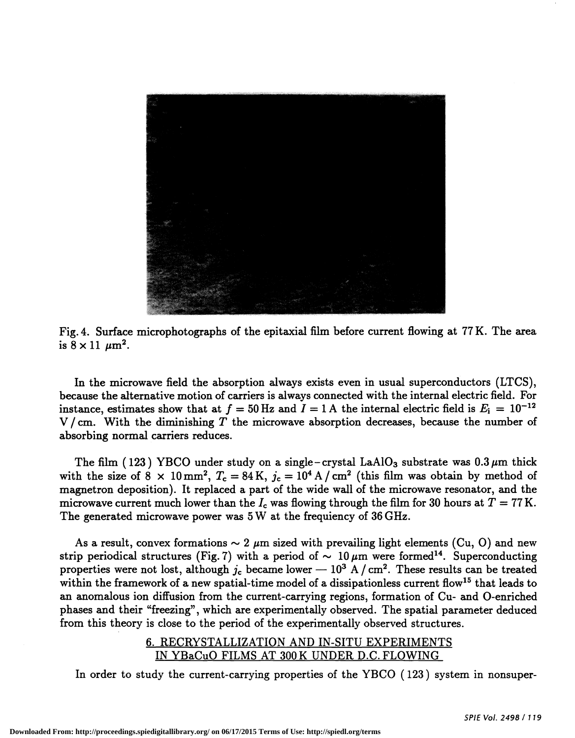

Fig. 4. Surface microphotographs of the epitaxial film before current flowing at 77 K. The area is  $8 \times 11 \ \mu m^2$ .

In the microwave field the absorption always exists even in usual superconductors (LTCS), because the alternative motion of carriers is always connected with the internal electric field. For instance, estimates show that at  $f = 50$  Hz and  $I = 1$  A the internal electric field is  $E_i = 10^{-12}$  $V/cm.$  With the diminishing T the microwave absorption decreases, because the number of absorbing normal carriers reduces.

The film (123) YBCO under study on a single-crystal LaAlO<sub>3</sub> substrate was  $0.3 \mu m$  thick with the size of 8 x 10 mm<sup>2</sup>,  $T_c = 84$  K,  $j_c = 10^4$  A / cm<sup>2</sup> (this film was obtain by method of magnetron deposition). It replaced a part of the wide wall of the microwave resonator, and the microwave current much lower than the  $I_c$  was flowing through the film for 30 hours at  $T = 77$  K. The generated microwave power was 5 W at the frequiency of 36 GHz.

As a result, convex formations  $\sim 2 \mu m$  sized with prevailing light elements (Cu, O) and new strip periodical structures (Fig. 7) with a period of  $\sim 10 \,\mu m$  were formed<sup>14</sup>. Superconducting properties were not lost, although  $j_c$  became lower —  $10^3$  A / cm<sup>2</sup>. These results can be treated within the framework of a new spatial-time model of a dissipationless current flow<sup>15</sup> that leads to an anomalous ion diffusion from the current-carrying regions, formation of Cu- and 0-enriched phases and their "freezing", which are experimentally observed. The spatial parameter deduced from this theory is close to the period of the experimentally observed structures.

## 6. RECRYSTALLIZATION AND IN-SITU EXPERIMENTS IN YBaCuO FILMS AT 300 K UNDER D.C. FLOWING

In order to study the current-carrying properties of the YBCO (123) system in nonsuper-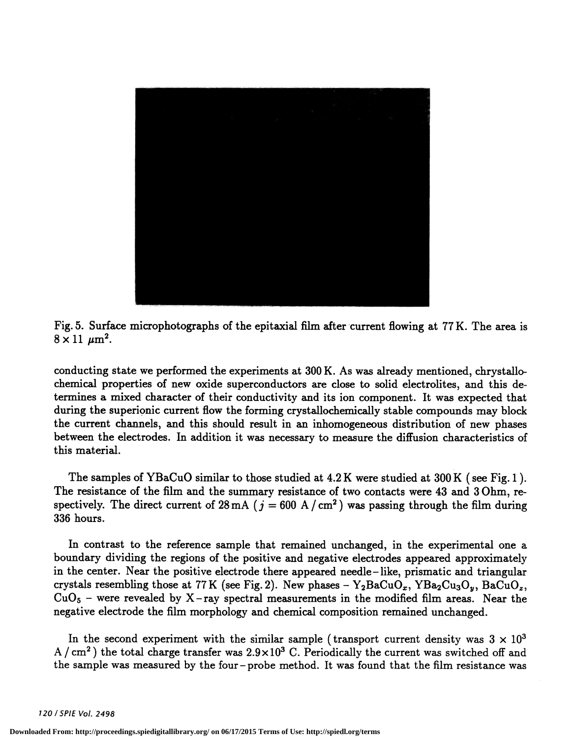

Fig. 5. Surface microphotographs of the epitaxial film after current flowing at 77 K. The area is  $8 \times 11 \ \mu m^2$ .

conducting state we performed the experiments at 300 K. As was already mentioned, chrystallochemical properties of new oxide superconductors are close to solid electrolites, and this determines a mixed character of their conductivity and its ion component. It was expected that during the superionic current flow the forming crystallochemically stable compounds may block the current channels, and this should result in an inhomogeneous distribution of new phases between the electrodes. In addition it was necessary to measure the diffusion characteristics of this material.

The samples of YBaCuO similar to those studied at 4.2 K were studied at 300 K (see Fig. 1). The resistance of the film and the summary resistance of two contacts were 43 and 3 Ohm, respectively. The direct current of  $28 \text{ mA}$  ( $j = 600 \text{ A}/\text{cm}^2$ ) was passing through the film during 336 hours.

In contrast to the reference sample that remained unchanged, in the experimental one a boundary dividing the regions of the positive and negative electrodes appeared approximately in the center. Near the positive electrode there appeared needle— like, prismatic and triangular crystals resembling those at 77 K (see Fig. 2). New phases –  $Y_2BaCuO_x$ ,  $YBa_2Cu_3O_y$ ,  $BaCuO_z$ ,  $CuO_5$  – were revealed by X – ray spectral measurements in the modified film areas. Near the negative electrode the film morphology and chemical composition remained unchanged.

In the second experiment with the similar sample (transport current density was  $3 \times 10^3$ ) A /  $\rm cm^2$ ) the total charge transfer was  $2.9 \times 10^3$  C. Periodically the current was switched off and the sample was measured by the four —probe method. It was found that the film resistance was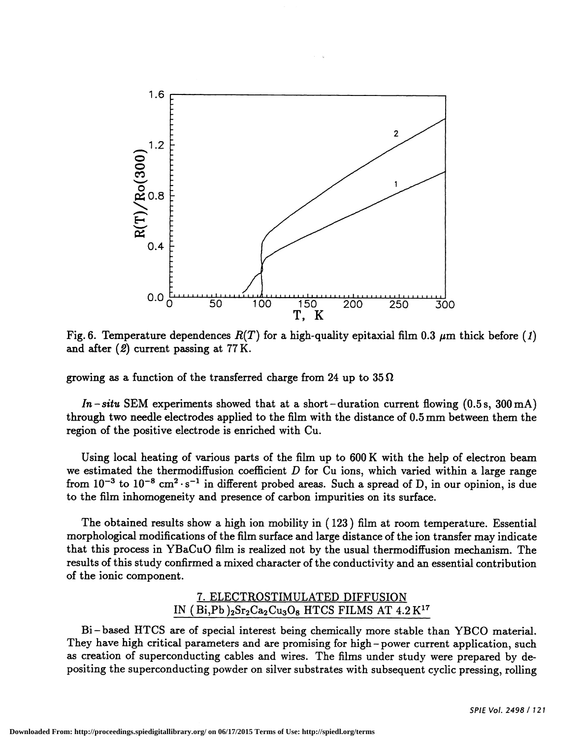

Fig. 6. Temperature dependences  $R(T)$  for a high-quality epitaxial film 0.3  $\mu$ m thick before (1) and after (2) current passing at 77 K.

growing as a function of the transferred charge from 24 up to  $35 \Omega$ 

In – situ SEM experiments showed that at a short – duration current flowing  $(0.5 s, 300 \,\text{mA})$ through two needle electrodes applied to the film with the distance of 0.5 mm between them the region of the positive electrode is enriched with Cu.

Using local heating of various parts of the film up to 600 K with the help of electron beam we estimated the thermodiffusion coefficient  $D$  for Cu ions, which varied within a large range from  $10^{-3}$  to  $10^{-8}$  cm<sup>2</sup> · s<sup>-1</sup> in different probed areas. Such a spread of D, in our opinion, is due to the film inhomogeneity and presence of carbon impurities on its surface.

The obtained results show a high ion mobility in ( <sup>123</sup> ) film at room temperature. Essential morphological modifications of the film surface and large distance of the ion transfer may indicate that this process in YBaCuO film is realized not by the usual thermodiffusion mechanism. The results of this study confirmed a mixed character of the conductivity and an essential contribution of the ionic component.

## 7. ELECTROSTIMULATED DIFFUSION IN  $(Bi, Pb)$ <sub>2</sub>Sr<sub>2</sub>Ca<sub>2</sub>Cu<sub>3</sub>O<sub>8</sub> HTCS FILMS AT 4.2 K<sup>17</sup>

Bi —based HTCS are of special interest being chemically more stable than YBCO material. They have high critical parameters and are promising for high-power current application, such as creation of superconducting cables and wires. The films under study were prepared by depositing the superconducting powder on silver substrates with subsequent cyclic pressing, rolling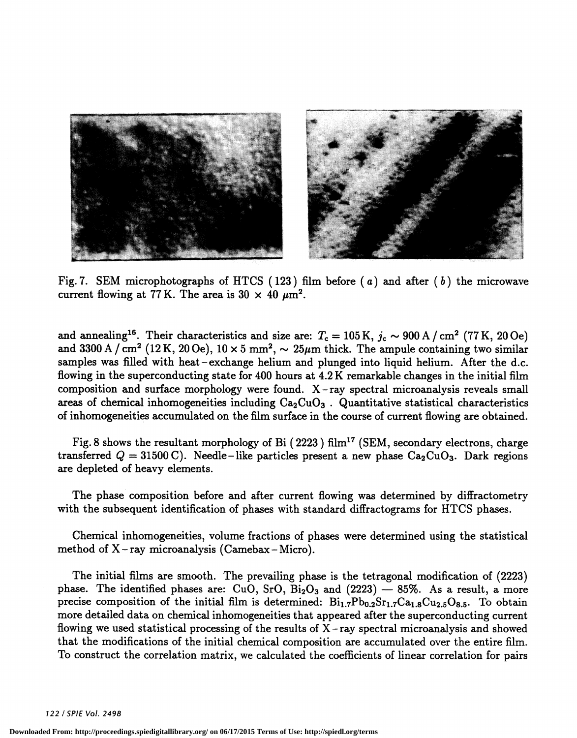

Fig. 7. SEM microphotographs of HTCS (123) film before (a) and after (b) the microwave current flowing at 77 K. The area is 30  $\times$  40  $\mu$ m<sup>2</sup>.

and annealing<sup>16</sup>. Their characteristics and size are:  $T_c = 105 \text{ K}$ ,  $j_c \sim 900 \text{ A / cm}^2$  (77 K, 20 Oe) and 3300 A / cm<sup>2</sup> (12 K, 20 Oe),  $10 \times 5$  mm<sup>2</sup>,  $\sim 25 \mu$ m thick. The ampule containing two similar samples was filled with heat – exchange helium and plunged into liquid helium. After the d.c. flowing in the superconducting state for 400 hours at 4.2 K remarkable changes in the initial film composition and surface morphology were found. X —ray spectral microanalysis reveals small areas of chemical inhomogeneities including  $Ca_2CuO_3$ . Quantitative statistical characteristics of inhomogeneities accumulated on the film surface in the course of current flowing are obtained.

Fig. 8 shows the resultant morphology of Bi (2223) film<sup>17</sup> (SEM, secondary electrons, charge transferred  $Q = 31500 \text{ C}$ . Needle-like particles present a new phase  $Ca_2CuO_3$ . Dark regions are depleted of heavy elements.

The phase composition before and after current flowing was determined by diffractometry with the subsequent identification of phases with standard diffractograms for HTCS phases.

Chemical inhomogeneities, volume fractions of phases were determined using the statistical method of  $X$  – ray microanalysis (Camebax – Micro).

The initial films are smooth. The prevailing phase is the tetragonal modification of (2223) phase. The identified phases are: CuO, SrO,  $Bi_2O_3$  and  $(2223)$  – 85%. As a result, a more precise composition of the initial film is determined:  $Bi_{1.7}Pb_{0.2}Sr_{1.7}Ca_{1.8}Cu_{2.5}O_{8.5}$ . To obtain more detailed data on chemical inhomogeneities that appeared after the superconducting current flowing we used statistical processing of the results of  $X$ -ray spectral microanalysis and showed that the modifications of the initial chemical composition are accumulated over the entire film. To construct the correlation matrix, we calculated the coefficients of linear correlation for pairs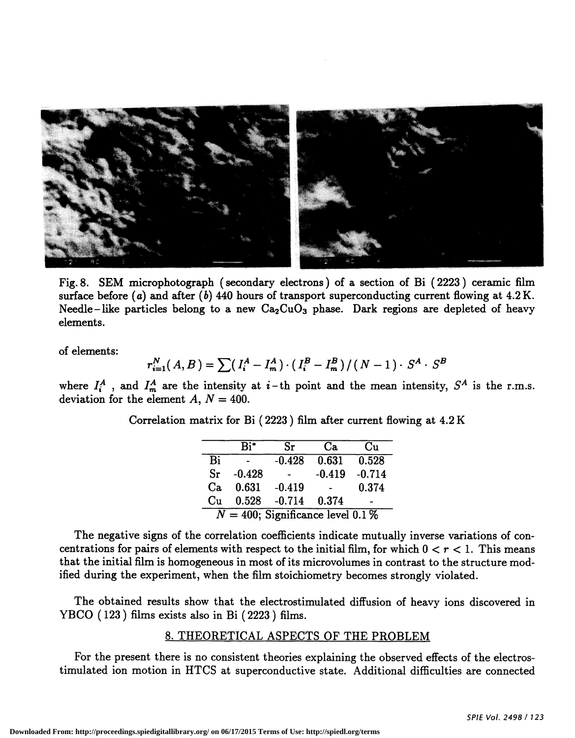

Fig. 8. SEM microphotograph (secondary electrons) of a section of Bi (2223) ceramic film surface before (a) and after (b) 440 hours of transport superconducting current flowing at  $4.2$  K. Needle–like particles belong to a new  $Ca<sub>2</sub>CuO<sub>3</sub>$  phase. Dark regions are depleted of heavy elements.

of elements:

$$
r_{i=1}^N(A,B) = \sum \left( I_i^A - I_m^A \right) \cdot \left( I_i^B - I_m^B \right) / (N-1) \cdot S^A \cdot S^B
$$

where  $I_i^A$ , and  $I_m^A$  are the intensity at  $i$ -th point and the mean intensity,  $S^A$  is the r.m.s. deviation for the element A,  $N = 400$ .

Correlation matrix for Bi (2223) film after current flowing at 4.2 K

|                                     | $R_i^*$         | Sr                       | Ca.                      | Cu    |
|-------------------------------------|-----------------|--------------------------|--------------------------|-------|
| Bi                                  |                 |                          | $-0.428$ $0.631$ $0.528$ |       |
| Sr                                  | $-0.428$        | $\sim 100$ km s $^{-1}$  | $-0.419 - 0.714$         |       |
| Ca.                                 | $0.631 - 0.419$ |                          |                          | 0.374 |
| Cu                                  |                 | $0.528$ $-0.714$ $0.374$ |                          |       |
| $N = 400$ ; Significance level 0.1% |                 |                          |                          |       |

The negative signs of the correlation coefficients indicate mutually inverse variations of concentrations for pairs of elements with respect to the initial film, for which  $0 < r < 1$ . This means that the initial film is homogeneous in most of its microvolumes in contrast to the structure modified during the experiment, when the film stoichiometry becomes strongly violated.

The obtained results show that the electrostimulated diffusion of heavy ions discovered in YBCO (123) films exists also in Bi (2223) films.

#### 8. THEORETICAL ASPECTS OF THE PROBLEM

For the present there is no consistent theories explaining the observed effects of the electrostimulated ion motion in HTCS at superconductive state. Additional difficulties are connected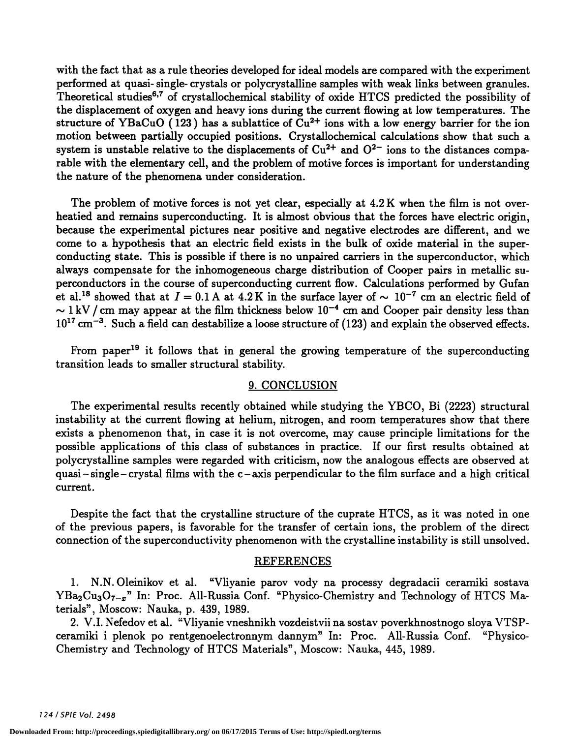with the fact that as a rule theories developed for ideal models are compared with the experiment performed at quasi- single- crystals or polycrystalline samples with weak links between granules. Theoretical studies<sup>6,7</sup> of crystallochemical stability of oxide HTCS predicted the possibility of the displacement of oxygen and heavy ions during the current flowing at low temperatures. The structure of YBaCuO (123) has a sublattice of  $Cu^{2+}$  ions with a low energy barrier for the ion motion between partially occupied positions. Crystallochemical calculations show that such a system is unstable relative to the displacements of  $Cu^{2+}$  and  $O^{2-}$  ions to the distances comparable with the elementary cell, and the problem of motive forces is important for understanding the nature of the phenomena under consideration.

The problem of motive forces is not yet clear, especially at 4.2 K when the film is not overheatied and remains superconducting. It is almost obvious that the forces have electric origin, because the experimental pictures near positive and negative electrodes are different, and we come to a hypothesis that an electric field exists in the bulk of oxide material in the superconducting state. This is possible if there is no unpaired carriers in the superconductor, which always compensate for the inhomogeneous charge distribution of Cooper pairs in metallic superconductors in the course of superconducting current flow. Calculations performed by Gufan et al.<sup>18</sup> showed that at  $I = 0.1$  A at 4.2 K in the surface layer of  $\sim 10^{-7}$  cm an electric field of  $\sim 1 \text{ kV}$  / cm may appear at the film thickness below  $10^{-4}$  cm and Cooper pair density less than  $10^{17}$  cm<sup>-3</sup>. Such a field can destabilize a loose structure of (123) and explain the observed effects.

From paper<sup>19</sup> it follows that in general the growing temperature of the superconducting transition leads to smaller structural stability.

#### 9. CONCLUSION

The experimental results recently obtained while studying the YBCO, Bi (2223) structural instability at the current flowing at helium, nitrogen, and room temperatures show that there exists a phenomenon that, in case it is not overcome, may cause principle limitations for the possible applications of this class of substances in practice. If our first results obtained at polycrystalline samples were regarded with criticism, now the analogous effects are observed at quasi – single – crystal films with the  $c$  – axis perpendicular to the film surface and a high critical current.

Despite the fact that the crystalline structure of the cuprate HTCS, as it was noted in one of the previous papers, is favorable for the transfer of certain ions, the problem of the direct connection of the superconductivity phenomenon with the crystalline instability is still unsolved.

#### REFERENCES

1. N.N. Oleinikov et al. "Vliyanie parov vody na processy degradacii ceramiki sostava YBa<sub>2</sub>Cu<sub>3</sub>O<sub>7-x</sub>" In: Proc. All-Russia Conf. "Physico-Chemistry and Technology of HTCS Materials", Moscow: Nauka, p. 439, 1989.

2. V.1. Nefedov et al. "Vliyanie vneshnikh vozdeistvii na sostav poverkhnostnogo sloya VTSPceramiki i plenok po rentgenoelectronnym dannym" In: Proc. All-Russia Conf. "Physico-Chemistry and Technology of HTCS Materials", Moscow: Nauka, 445, 1989.